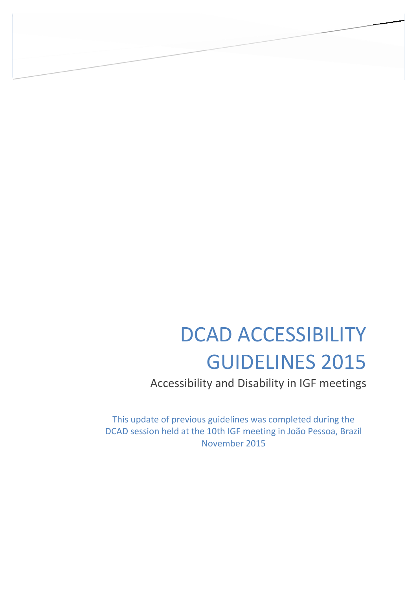# DCAD ACCESSIBILITY GUIDELINES 2015

Accessibility and Disability in IGF meetings

This update of previous guidelines was completed during the DCAD session held at the 10th IGF meeting in João Pessoa, Brazil November 2015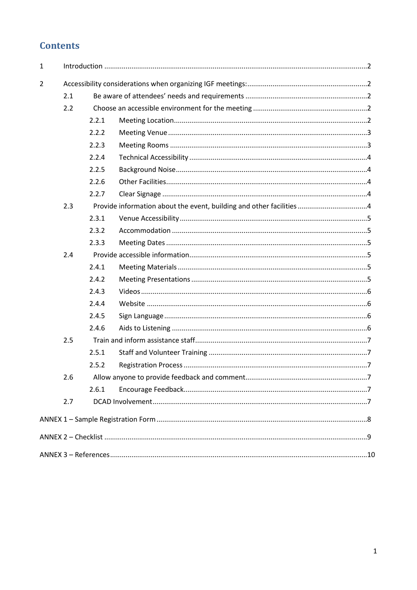# **Contents**

| $\mathbf{1}$ |     |       |  |  |  |
|--------------|-----|-------|--|--|--|
| 2            |     |       |  |  |  |
|              | 2.1 |       |  |  |  |
|              | 2.2 |       |  |  |  |
|              |     | 2.2.1 |  |  |  |
|              |     | 2.2.2 |  |  |  |
|              |     | 2.2.3 |  |  |  |
|              |     | 2.2.4 |  |  |  |
|              |     | 2.2.5 |  |  |  |
|              |     | 2.2.6 |  |  |  |
|              |     | 2.2.7 |  |  |  |
|              | 2.3 |       |  |  |  |
|              |     | 2.3.1 |  |  |  |
|              |     | 2.3.2 |  |  |  |
|              |     | 2.3.3 |  |  |  |
|              | 2.4 |       |  |  |  |
|              |     | 2.4.1 |  |  |  |
|              |     | 2.4.2 |  |  |  |
|              |     | 2.4.3 |  |  |  |
|              |     | 2.4.4 |  |  |  |
|              |     | 2.4.5 |  |  |  |
|              |     | 2.4.6 |  |  |  |
|              | 2.5 |       |  |  |  |
|              |     | 2.5.1 |  |  |  |
|              |     | 2.5.2 |  |  |  |
|              | 2.6 |       |  |  |  |
|              |     | 2.6.1 |  |  |  |
|              | 2.7 |       |  |  |  |
|              |     |       |  |  |  |
|              |     |       |  |  |  |
|              |     |       |  |  |  |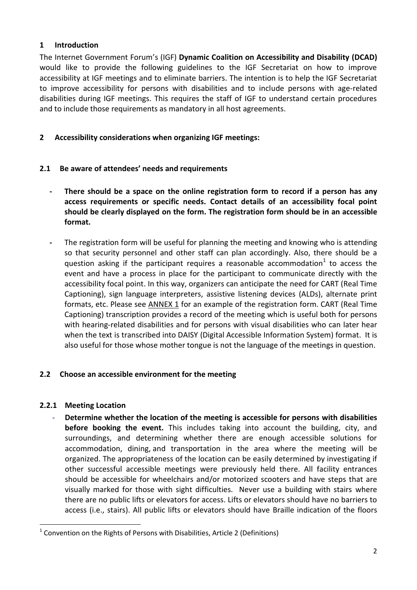# <span id="page-2-0"></span>**1 Introduction**

The Internet Government Forum's (IGF) **Dynamic Coalition on Accessibility and Disability (DCAD)** would like to provide the following guidelines to the IGF Secretariat on how to improve accessibility at IGF meetings and to eliminate barriers. The intention is to help the IGF Secretariat to improve accessibility for persons with disabilities and to include persons with age-related disabilities during IGF meetings. This requires the staff of IGF to understand certain procedures and to include those requirements as mandatory in all host agreements.

# <span id="page-2-1"></span>**2 Accessibility considerations when organizing IGF meetings:**

# <span id="page-2-2"></span>**2.1 Be aware of attendees' needs and requirements**

- **- There should be a space on the online registration form to record if a person has any access requirements or specific needs. Contact details of an accessibility focal point should be clearly displayed on the form. The registration form should be in an accessible format.**
- **-** The registration form will be useful for planning the meeting and knowing who is attending so that security personnel and other staff can plan accordingly. Also, there should be a question asking if the participant requires a reasonable accommodation<sup>1</sup> to access the event and have a process in place for the participant to communicate directly with the accessibility focal point. In this way, organizers can anticipate the need for CART (Real Time Captioning), sign language interpreters, assistive listening devices (ALDs), alternate print formats, etc. Please see [ANNEX 1](#page-7-6) for an example of the registration form. CART (Real Time Captioning) transcription provides a record of the meeting which is useful both for persons with hearing-related disabilities and for persons with visual disabilities who can later hear when the text is transcribed into DAISY (Digital Accessible Information System) format. It is also useful for those whose mother tongue is not the language of the meetings in question.

# <span id="page-2-3"></span>**2.2 Choose an accessible environment for the meeting**

# <span id="page-2-4"></span>**2.2.1 Meeting Location**

**.** 

- **Determine whether the location of the meeting is accessible for persons with disabilities before booking the event.** This includes taking into account the building, city, and surroundings, and determining whether there are enough accessible solutions for accommodation, dining, and transportation in the area where the meeting will be organized. The appropriateness of the location can be easily determined by investigating if other successful accessible meetings were previously held there. All facility entrances should be accessible for wheelchairs and/or motorized scooters and have steps that are visually marked for those with sight difficulties. Never use a building with stairs where there are no public lifts or elevators for access. Lifts or elevators should have no barriers to access (i.e., stairs). All public lifts or elevators should have Braille indication of the floors

 $1$  Convention on the Rights of Persons with Disabilities, Article 2 (Definitions)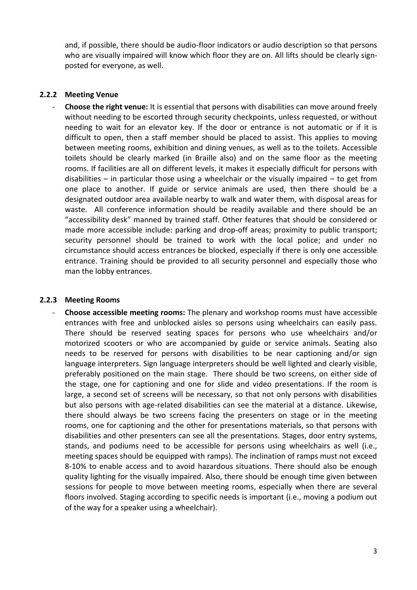and, if possible, there should be audio-floor indicators or audio description so that persons who are visually impaired will know which floor they are on. All lifts should be clearly signposted for everyone, as well.

### <span id="page-3-0"></span>**2.2.2 Meeting Venue**

- **Choose the right venue:** It is essential that persons with disabilities can move around freely without needing to be escorted through security checkpoints, unless requested, or without needing to wait for an elevator key. If the door or entrance is not automatic or if it is difficult to open, then a staff member should be placed to assist. This applies to moving between meeting rooms, exhibition and dining venues, as well as to the toilets. Accessible toilets should be clearly marked (in Braille also) and on the same floor as the meeting rooms. If facilities are all on different levels, it makes it especially difficult for persons with disabilities – in particular those using a wheelchair or the visually impaired – to get from one place to another. If guide or service animals are used, then there should be a designated outdoor area available nearby to walk and water them, with disposal areas for waste. All conference information should be readily available and there should be an "accessibility desk" manned by trained staff. Other features that should be considered or made more accessible include: parking and drop-off areas; proximity to public transport; security personnel should be trained to work with the local police; and under no circumstance should access entrances be blocked, especially if there is only one accessible entrance. Training should be provided to all security personnel and especially those who man the lobby entrances.

#### <span id="page-3-1"></span>**2.2.3 Meeting Rooms**

- **Choose accessible meeting rooms:** The plenary and workshop rooms must have accessible entrances with free and unblocked aisles so persons using wheelchairs can easily pass. There should be reserved seating spaces for persons who use wheelchairs and/or motorized scooters or who are accompanied by guide or service animals. Seating also needs to be reserved for persons with disabilities to be near captioning and/or sign language interpreters. Sign language interpreters should be well lighted and clearly visible, preferably positioned on the main stage. There should be two screens, on either side of the stage, one for captioning and one for slide and video presentations. If the room is large, a second set of screens will be necessary, so that not only persons with disabilities but also persons with age-related disabilities can see the material at a distance. Likewise, there should always be two screens facing the presenters on stage or in the meeting rooms, one for captioning and the other for presentations materials, so that persons with disabilities and other presenters can see all the presentations. Stages, door entry systems, stands, and podiums need to be accessible for persons using wheelchairs as well (i.e., meeting spaces should be equipped with ramps). The inclination of ramps must not exceed 8-10% to enable access and to avoid hazardous situations. There should also be enough quality lighting for the visually impaired. Also, there should be enough time given between sessions for people to move between meeting rooms, especially when there are several floors involved. Staging according to specific needs is important (i.e., moving a podium out of the way for a speaker using a wheelchair).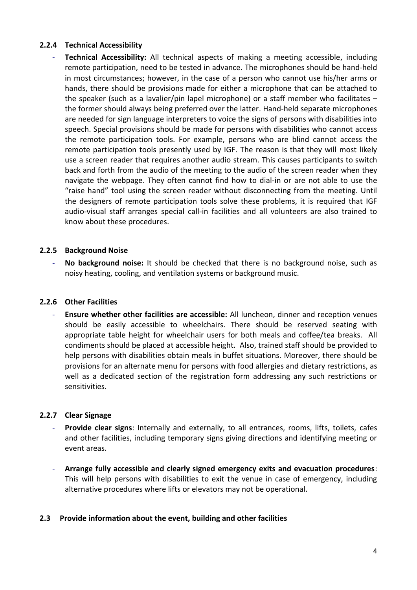# <span id="page-4-0"></span>**2.2.4 Technical Accessibility**

**Technical Accessibility:** All technical aspects of making a meeting accessible, including remote participation, need to be tested in advance. The microphones should be hand-held in most circumstances; however, in the case of a person who cannot use his/her arms or hands, there should be provisions made for either a microphone that can be attached to the speaker (such as a lavalier/pin lapel microphone) or a staff member who facilitates – the former should always being preferred over the latter. Hand-held separate microphones are needed for sign language interpreters to voice the signs of persons with disabilities into speech. Special provisions should be made for persons with disabilities who cannot access the remote participation tools. For example, persons who are blind cannot access the remote participation tools presently used by IGF. The reason is that they will most likely use a screen reader that requires another audio stream. This causes participants to switch back and forth from the audio of the meeting to the audio of the screen reader when they navigate the webpage. They often cannot find how to dial-in or are not able to use the "raise hand" tool using the screen reader without disconnecting from the meeting. Until the designers of remote participation tools solve these problems, it is required that IGF audio-visual staff arranges special call-in facilities and all volunteers are also trained to know about these procedures.

### <span id="page-4-1"></span>**2.2.5 Background Noise**

No background noise: It should be checked that there is no background noise, such as noisy heating, cooling, and ventilation systems or background music.

# <span id="page-4-2"></span>**2.2.6 Other Facilities**

- **Ensure whether other facilities are accessible:** All luncheon, dinner and reception venues should be easily accessible to wheelchairs. There should be reserved seating with appropriate table height for wheelchair users for both meals and coffee/tea breaks. All condiments should be placed at accessible height. Also, trained staff should be provided to help persons with disabilities obtain meals in buffet situations. Moreover, there should be provisions for an alternate menu for persons with food allergies and dietary restrictions, as well as a dedicated section of the registration form addressing any such restrictions or sensitivities.

# <span id="page-4-3"></span>**2.2.7 Clear Signage**

- **Provide clear signs**: Internally and externally, to all entrances, rooms, lifts, toilets, cafes and other facilities, including temporary signs giving directions and identifying meeting or event areas.
- **Arrange fully accessible and clearly signed emergency exits and evacuation procedures**: This will help persons with disabilities to exit the venue in case of emergency, including alternative procedures where lifts or elevators may not be operational.

# <span id="page-4-4"></span>**2.3 Provide information about the event, building and other facilities**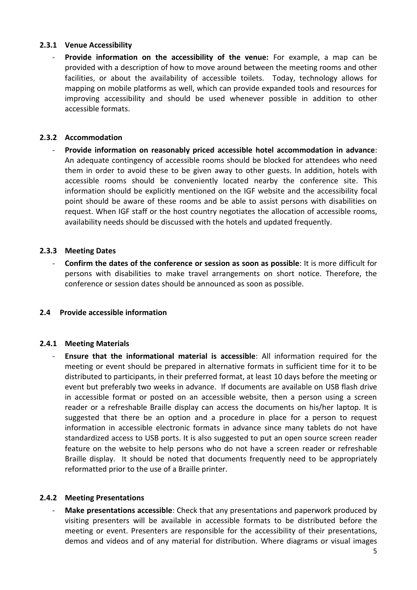# <span id="page-5-0"></span>**2.3.1 Venue Accessibility**

Provide information on the accessibility of the venue: For example, a map can be provided with a description of how to move around between the meeting rooms and other facilities, or about the availability of accessible toilets. Today, technology allows for mapping on mobile platforms as well, which can provide expanded tools and resources for improving accessibility and should be used whenever possible in addition to other accessible formats.

# <span id="page-5-1"></span>**2.3.2 Accommodation**

- **Provide information on reasonably priced accessible hotel accommodation in advance**: An adequate contingency of accessible rooms should be blocked for attendees who need them in order to avoid these to be given away to other guests. In addition, hotels with accessible rooms should be conveniently located nearby the conference site. This information should be explicitly mentioned on the IGF website and the accessibility focal point should be aware of these rooms and be able to assist persons with disabilities on request. When IGF staff or the host country negotiates the allocation of accessible rooms, availability needs should be discussed with the hotels and updated frequently.

### <span id="page-5-2"></span>**2.3.3 Meeting Dates**

- **Confirm the dates of the conference or session as soon as possible**: It is more difficult for persons with disabilities to make travel arrangements on short notice. Therefore, the conference or session dates should be announced as soon as possible.

#### <span id="page-5-3"></span>**2.4 Provide accessible information**

#### <span id="page-5-4"></span>**2.4.1 Meeting Materials**

- **Ensure that the informational material is accessible**: All information required for the meeting or event should be prepared in alternative formats in sufficient time for it to be distributed to participants, in their preferred format, at least 10 days before the meeting or event but preferably two weeks in advance. If documents are available on USB flash drive in accessible format or posted on an accessible website, then a person using a screen reader or a refreshable Braille display can access the documents on his/her laptop. It is suggested that there be an option and a procedure in place for a person to request information in accessible electronic formats in advance since many tablets do not have standardized access to USB ports. It is also suggested to put an open source screen reader feature on the website to help persons who do not have a screen reader or refreshable Braille display. It should be noted that documents frequently need to be appropriately reformatted prior to the use of a Braille printer.

#### <span id="page-5-5"></span>**2.4.2 Meeting Presentations**

Make presentations accessible: Check that any presentations and paperwork produced by visiting presenters will be available in accessible formats to be distributed before the meeting or event. Presenters are responsible for the accessibility of their presentations, demos and videos and of any material for distribution. Where diagrams or visual images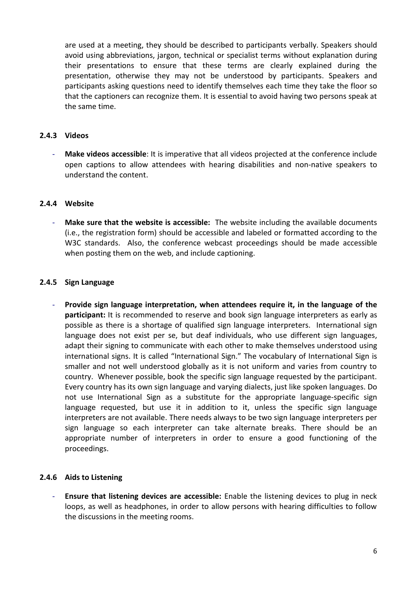are used at a meeting, they should be described to participants verbally. Speakers should avoid using abbreviations, jargon, technical or specialist terms without explanation during their presentations to ensure that these terms are clearly explained during the presentation, otherwise they may not be understood by participants. Speakers and participants asking questions need to identify themselves each time they take the floor so that the captioners can recognize them. It is essential to avoid having two persons speak at the same time.

#### <span id="page-6-0"></span>**2.4.3 Videos**

- **Make videos accessible**: It is imperative that all videos projected at the conference include open captions to allow attendees with hearing disabilities and non-native speakers to understand the content.

#### <span id="page-6-1"></span>**2.4.4 Website**

- **Make sure that the website is accessible:** The website including the available documents (i.e., the registration form) should be accessible and labeled or formatted according to the W3C standards. Also, the conference webcast proceedings should be made accessible when posting them on the web, and include captioning.

### <span id="page-6-2"></span>**2.4.5 Sign Language**

- **Provide sign language interpretation, when attendees require it, in the language of the participant:** It is recommended to reserve and book sign language interpreters as early as possible as there is a shortage of qualified sign language interpreters. International sign language does not exist per se, but deaf individuals, who use different sign languages, adapt their signing to communicate with each other to make themselves understood using international signs. It is called "International Sign." The vocabulary of International Sign is smaller and not well understood globally as it is not uniform and varies from country to country. Whenever possible, book the specific sign language requested by the participant. Every country has its own sign language and varying dialects, just like spoken languages. Do not use International Sign as a substitute for the appropriate language-specific sign language requested, but use it in addition to it, unless the specific sign language interpreters are not available. There needs always to be two sign language interpreters per sign language so each interpreter can take alternate breaks. There should be an appropriate number of interpreters in order to ensure a good functioning of the proceedings.

# <span id="page-6-3"></span>**2.4.6 Aids to Listening**

- **Ensure that listening devices are accessible:** Enable the listening devices to plug in neck loops, as well as headphones, in order to allow persons with hearing difficulties to follow the discussions in the meeting rooms.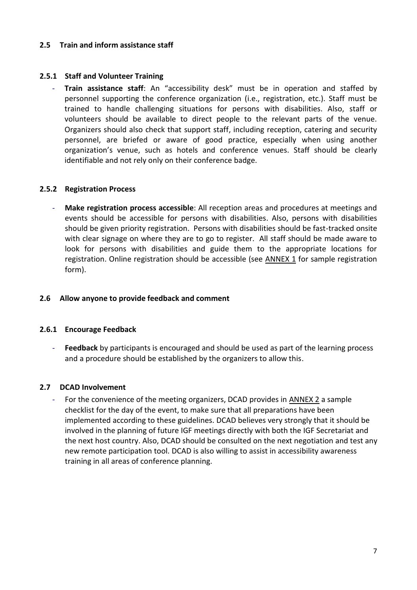#### <span id="page-7-0"></span>**2.5 Train and inform assistance staff**

# <span id="page-7-1"></span>**2.5.1 Staff and Volunteer Training**

Train assistance staff: An "accessibility desk" must be in operation and staffed by personnel supporting the conference organization (i.e., registration, etc.). Staff must be trained to handle challenging situations for persons with disabilities. Also, staff or volunteers should be available to direct people to the relevant parts of the venue. Organizers should also check that support staff, including reception, catering and security personnel, are briefed or aware of good practice, especially when using another organization's venue, such as hotels and conference venues. Staff should be clearly identifiable and not rely only on their conference badge.

### <span id="page-7-2"></span>**2.5.2 Registration Process**

- **Make registration process accessible**: All reception areas and procedures at meetings and events should be accessible for persons with disabilities. Also, persons with disabilities should be given priority registration. Persons with disabilities should be fast-tracked onsite with clear signage on where they are to go to register. All staff should be made aware to look for persons with disabilities and guide them to the appropriate locations for registration. Online registration should be accessible (see ANNEX 1 for sample registration form).

#### <span id="page-7-3"></span>**2.6 Allow anyone to provide feedback and comment**

#### <span id="page-7-4"></span>**2.6.1 Encourage Feedback**

- **Feedback** by participants is encouraged and should be used as part of the learning process and a procedure should be established by the organizers to allow this.

#### <span id="page-7-5"></span>**2.7 DCAD Involvement**

<span id="page-7-6"></span>For the convenience of the meeting organizers, DCAD provides in ANNEX 2 a sample checklist for the day of the event, to make sure that all preparations have been implemented according to these guidelines. DCAD believes very strongly that it should be involved in the planning of future IGF meetings directly with both the IGF Secretariat and the next host country. Also, DCAD should be consulted on the next negotiation and test any new remote participation tool. DCAD is also willing to assist in accessibility awareness training in all areas of conference planning.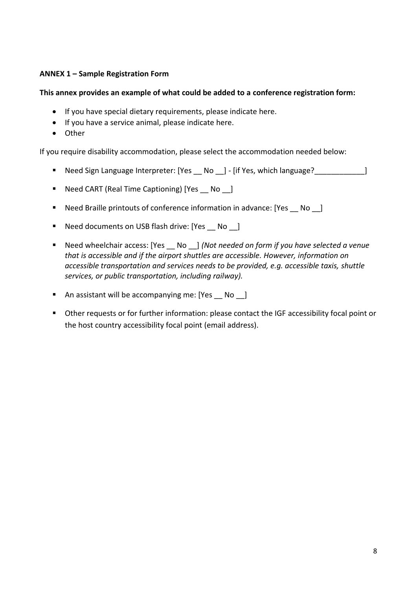# <span id="page-8-0"></span>**ANNEX 1 – Sample Registration Form**

### **This annex provides an example of what could be added to a conference registration form:**

- If you have special dietary requirements, please indicate here.
- If you have a service animal, please indicate here.
- Other

If you require disability accommodation, please select the accommodation needed below:

- Need Sign Language Interpreter: [Yes \_\_ No \_\_] [if Yes, which language?\_\_\_\_\_\_\_\_\_\_\_\_\_]
- Need CART (Real Time Captioning) [Yes No ]
- Need Braille printouts of conference information in advance: [Yes \_\_ No \_\_]
- Need documents on USB flash drive: [Yes No ]
- Need wheelchair access: [Yes No ] *(Not needed on form if you have selected a venue that is accessible and if the airport shuttles are accessible. However, information on accessible transportation and services needs to be provided, e.g. accessible taxis, shuttle services, or public transportation, including railway).*
- An assistant will be accompanying me: [Yes No ]
- Other requests or for further information: please contact the IGF accessibility focal point or the host country accessibility focal point (email address).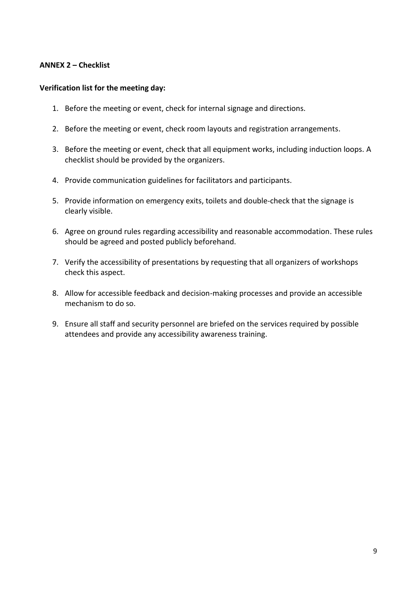### <span id="page-9-0"></span>**ANNEX 2 – Checklist**

#### **Verification list for the meeting day:**

- 1. Before the meeting or event, check for internal signage and directions.
- 2. Before the meeting or event, check room layouts and registration arrangements.
- 3. Before the meeting or event, check that all equipment works, including induction loops. A checklist should be provided by the organizers.
- 4. Provide communication guidelines for facilitators and participants.
- 5. Provide information on emergency exits, toilets and double-check that the signage is clearly visible.
- 6. Agree on ground rules regarding accessibility and reasonable accommodation. These rules should be agreed and posted publicly beforehand.
- 7. Verify the accessibility of presentations by requesting that all organizers of workshops check this aspect.
- 8. Allow for accessible feedback and decision-making processes and provide an accessible mechanism to do so.
- 9. Ensure all staff and security personnel are briefed on the services required by possible attendees and provide any accessibility awareness training.